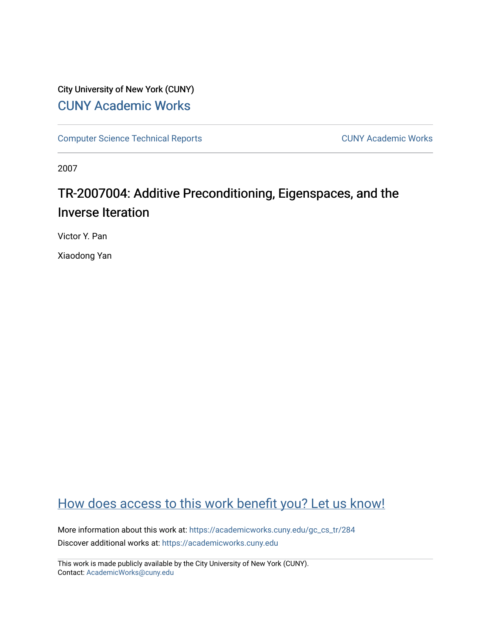# City University of New York (CUNY) [CUNY Academic Works](https://academicworks.cuny.edu/)

[Computer Science Technical Reports](https://academicworks.cuny.edu/gc_cs_tr) **CUNY Academic Works** CUNY Academic Works

2007

# TR-2007004: Additive Preconditioning, Eigenspaces, and the Inverse Iteration

Victor Y. Pan

Xiaodong Yan

# [How does access to this work benefit you? Let us know!](http://ols.cuny.edu/academicworks/?ref=https://academicworks.cuny.edu/gc_cs_tr/284)

More information about this work at: [https://academicworks.cuny.edu/gc\\_cs\\_tr/284](https://academicworks.cuny.edu/gc_cs_tr/284)  Discover additional works at: [https://academicworks.cuny.edu](https://academicworks.cuny.edu/?)

This work is made publicly available by the City University of New York (CUNY). Contact: [AcademicWorks@cuny.edu](mailto:AcademicWorks@cuny.edu)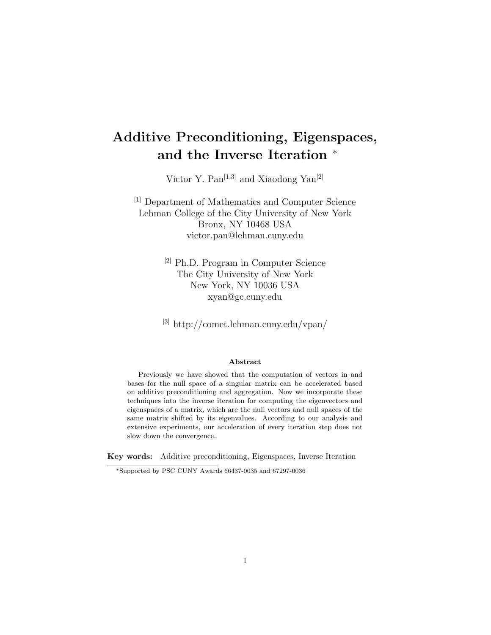# Additive Preconditioning, Eigenspaces, and the Inverse Iteration <sup>∗</sup>

Victor Y. Pan<sup>[1,3]</sup> and Xiaodong Yan<sup>[2]</sup>

[1] Department of Mathematics and Computer Science Lehman College of the City University of New York Bronx, NY 10468 USA victor.pan@lehman.cuny.edu

> [2] Ph.D. Program in Computer Science The City University of New York New York, NY 10036 USA xyan@gc.cuny.edu

[3] http://comet.lehman.cuny.edu/vpan/

#### Abstract

Previously we have showed that the computation of vectors in and bases for the null space of a singular matrix can be accelerated based on additive preconditioning and aggregation. Now we incorporate these techniques into the inverse iteration for computing the eigenvectors and eigenspaces of a matrix, which are the null vectors and null spaces of the same matrix shifted by its eigenvalues. According to our analysis and extensive experiments, our acceleration of every iteration step does not slow down the convergence.

Key words: Additive preconditioning, Eigenspaces, Inverse Iteration

<sup>∗</sup>Supported by PSC CUNY Awards 66437-0035 and 67297-0036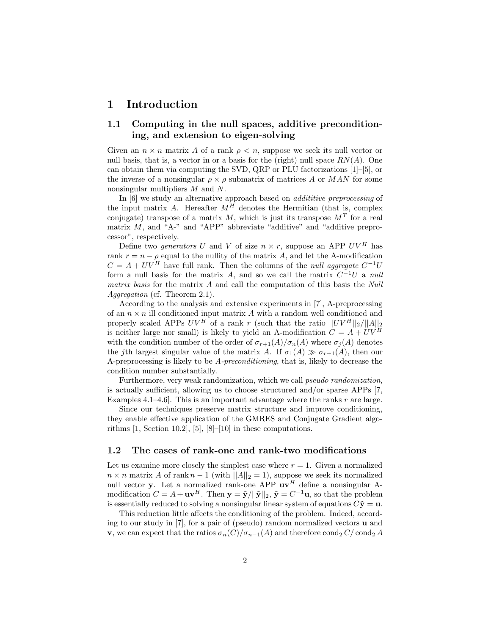### 1 Introduction

### 1.1 Computing in the null spaces, additive preconditioning, and extension to eigen-solving

Given an  $n \times n$  matrix A of a rank  $\rho < n$ , suppose we seek its null vector or null basis, that is, a vector in or a basis for the (right) null space  $RN(A)$ . One can obtain them via computing the SVD, QRP or PLU factorizations [1]–[5], or the inverse of a nonsingular  $\rho \times \rho$  submatrix of matrices A or MAN for some nonsingular multipliers M and N.

In [6] we study an alternative approach based on *addititive preprocessing* of the input matrix A. Hereafter  $M^H$  denotes the Hermitian (that is, complex conjugate) transpose of a matrix  $M$ , which is just its transpose  $M<sup>T</sup>$  for a real matrix  $M$ , and "A-" and "APP" abbreviate "additive" and "additive preprocessor", respectively.

Define two *generators* U and V of size  $n \times r$ , suppose an APP  $UV^H$  has rank  $r = n - \rho$  equal to the nullity of the matrix A, and let the A-modification  $C = A + UV^H$  have full rank. Then the columns of the *null aggregate*  $C^{-1}U$ form a null basis for the matrix A, and so we call the matrix  $C^{-1}U$  a null matrix basis for the matrix A and call the computation of this basis the Null Aggregation (cf. Theorem 2.1).

According to the analysis and extensive experiments in [7], A-preprocessing of an  $n \times n$  ill conditioned input matrix A with a random well conditioned and properly scaled APPs  $UV^H$  of a rank r (such that the ratio  $||UV^H||_2/||A||_2$ is neither large nor small) is likely to yield an A-modification  $C = A + UV^H$ with the condition number of the order of  $\sigma_{r+1}(A)/\sigma_n(A)$  where  $\sigma_i(A)$  denotes the jth largest singular value of the matrix A. If  $\sigma_1(A) \gg \sigma_{r+1}(A)$ , then our A-preprocessing is likely to be A-preconditioning, that is, likely to decrease the condition number substantially.

Furthermore, very weak randomization, which we call pseudo randomization, is actually sufficient, allowing us to choose structured and/or sparse APPs [7, Examples 4.1–4.6. This is an important advantage where the ranks  $r$  are large.

Since our techniques preserve matrix structure and improve conditioning, they enable effective application of the GMRES and Conjugate Gradient algorithms  $[1, Section 10.2], [5], [8]–[10]$  in these computations.

#### 1.2 The cases of rank-one and rank-two modifications

Let us examine more closely the simplest case where  $r = 1$ . Given a normalized  $n \times n$  matrix A of rank  $n - 1$  (with  $||A||_2 = 1$ ), suppose we seek its normalized null vector y. Let a normalized rank-one APP  $uv<sup>H</sup>$  define a nonsingular Amodification  $C = A + \mathbf{u}\mathbf{v}^H$ . Then  $\mathbf{y} = \tilde{\mathbf{y}}/||\tilde{\mathbf{y}}||_2$ ,  $\tilde{\mathbf{y}} = C^{-1}\mathbf{u}$ , so that the problem is essentially reduced to solving a nonsingular linear system of equations  $C\tilde{\mathbf{y}} = \mathbf{u}$ .

This reduction little affects the conditioning of the problem. Indeed, according to our study in [7], for a pair of (pseudo) random normalized vectors u and **v**, we can expect that the ratios  $\sigma_n(C)/\sigma_{n-1}(A)$  and therefore cond<sub>2</sub> C/ cond<sub>2</sub> A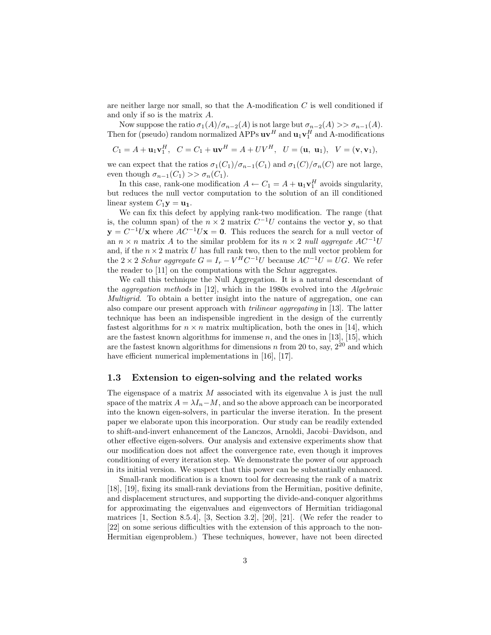are neither large nor small, so that the A-modification  $C$  is well conditioned if and only if so is the matrix A.

Now suppose the ratio  $\sigma_1(A)/\sigma_{n-2}(A)$  is not large but  $\sigma_{n-2}(A) >> \sigma_{n-1}(A)$ . Then for (pseudo) random normalized APPs  $uv^H$  and  $u_1v_1^H$  and A-modifications

$$
C_1 = A + \mathbf{u}_1 \mathbf{v}_1^H
$$
,  $C = C_1 + \mathbf{u} \mathbf{v}^H = A + UV^H$ ,  $U = (\mathbf{u}, \mathbf{u}_1)$ ,  $V = (\mathbf{v}, \mathbf{v}_1)$ ,

we can expect that the ratios  $\sigma_1(C_1)/\sigma_{n-1}(C_1)$  and  $\sigma_1(C)/\sigma_n(C)$  are not large, even though  $\sigma_{n-1}(C_1) >> \sigma_n(C_1)$ .

In this case, rank-one modification  $A \leftarrow C_1 = A + \mathbf{u}_1 \mathbf{v}_1^H$  avoids singularity, but reduces the null vector computation to the solution of an ill conditioned linear system  $C_1$ **y** = **u**<sub>1</sub>.

We can fix this defect by applying rank-two modification. The range (that is, the column span) of the  $n \times 2$  matrix  $C^{-1}U$  contains the vector y, so that  $y = C^{-1}Ux$  where  $AC^{-1}Ux = 0$ . This reduces the search for a null vector of an  $n \times n$  matrix A to the similar problem for its  $n \times 2$  null aggregate AC<sup>-1</sup>U and, if the  $n \times 2$  matrix U has full rank two, then to the null vector problem for the 2 × 2 Schur aggregate  $G = I_r - V^H C^{-1} U$  because  $AC^{-1} U = U G$ . We refer the reader to [11] on the computations with the Schur aggregates.

We call this technique the Null Aggregation. It is a natural descendant of the aggregation methods in [12], which in the 1980s evolved into the Algebraic Multigrid. To obtain a better insight into the nature of aggregation, one can also compare our present approach with trilinear aggregating in [13]. The latter technique has been an indispensible ingredient in the design of the currently fastest algorithms for  $n \times n$  matrix multiplication, both the ones in [14], which are the fastest known algorithms for immense  $n$ , and the ones in [13], [15], which are the fastest known algorithms for dimensions  $n$  from 20 to, say,  $2^{20}$  and which have efficient numerical implementations in [16], [17].

#### 1.3 Extension to eigen-solving and the related works

The eigenspace of a matrix M associated with its eigenvalue  $\lambda$  is just the null space of the matrix  $A = \lambda I_n - M$ , and so the above approach can be incorporated into the known eigen-solvers, in particular the inverse iteration. In the present paper we elaborate upon this incorporation. Our study can be readily extended to shift-and-invert enhancement of the Lanczos, Arnoldi, Jacobi–Davidson, and other effective eigen-solvers. Our analysis and extensive experiments show that our modification does not affect the convergence rate, even though it improves conditioning of every iteration step. We demonstrate the power of our approach in its initial version. We suspect that this power can be substantially enhanced.

Small-rank modification is a known tool for decreasing the rank of a matrix [18], [19], fixing its small-rank deviations from the Hermitian, positive definite, and displacement structures, and supporting the divide-and-conquer algorithms for approximating the eigenvalues and eigenvectors of Hermitian tridiagonal matrices [1, Section 8.5.4], [3, Section 3.2], [20], [21]. (We refer the reader to [22] on some serious difficulties with the extension of this approach to the non-Hermitian eigenproblem.) These techniques, however, have not been directed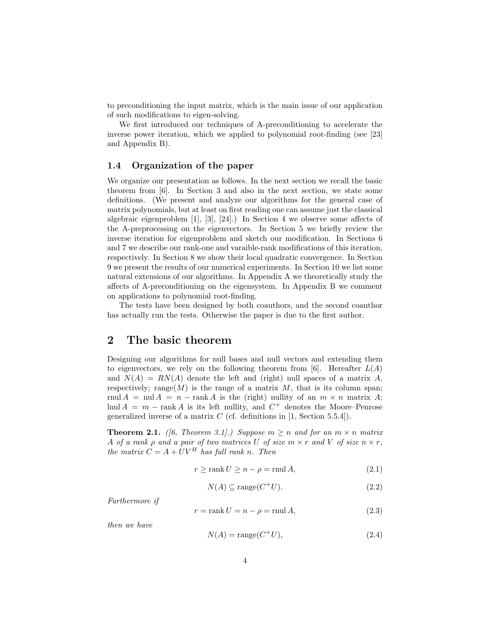to preconditioning the input matrix, which is the main issue of our application of such modifications to eigen-solving.

We first introduced our techniques of A-preconditioning to accelerate the inverse power iteration, which we applied to polynomial root-finding (see [23] and Appendix B).

#### 1.4 Organization of the paper

We organize our presentation as follows. In the next section we recall the basic theorem from [6]. In Section 3 and also in the next section, we state some definitions. (We present and analyze our algorithms for the general case of matrix polynomials, but at least on first reading one can assume just the classical algebraic eigenproblem [1], [3], [24].) In Section 4 we observe some affects of the A-preprocessing on the eigenvectors. In Section 5 we briefly review the inverse iteration for eigenproblem and sketch our modification. In Sections 6 and 7 we describe our rank-one and varaible-rank modifications of this iteration, respectively. In Section 8 we show their local quadratic convergence. In Section 9 we present the results of our numerical experiments. In Section 10 we list some natural extensions of our algorithms. In Appendix A we theoretically study the affects of A-preconditioning on the eigensystem. In Appendix B we comment on applications to polynomial root-finding.

The tests have been designed by both coauthors, and the second coauthor has actually run the tests. Otherwise the paper is due to the first author.

### 2 The basic theorem

Designing our algorithms for null bases and null vectors and extending them to eigenvectors, we rely on the following theorem from [6]. Hereafter  $L(A)$ and  $N(A) = RN(A)$  denote the left and (right) null spaces of a matrix A, respectively; range $(M)$  is the range of a matrix M, that is its column span; rnul  $A = \text{null } A = n - \text{rank } A$  is the (right) nullity of an  $m \times n$  matrix A; lnul  $A = m - \text{rank } A$  is its left nullity, and  $C^+$  denotes the Moore–Penrose generalized inverse of a matrix  $C$  (cf. definitions in [1, Section 5.5.4]).

**Theorem 2.1.** ([6, Theorem 3.1].) Suppose  $m \ge n$  and for an  $m \times n$  matrix A of a rank  $\rho$  and a pair of two matrices U of size  $m \times r$  and V of size  $n \times r$ , the matrix  $C = A + UV^H$  has full rank n. Then

$$
r \ge \operatorname{rank} U \ge n - \rho = \operatorname{rnu} A,\tag{2.1}
$$

$$
N(A) \subseteq \text{range}(C^+U). \tag{2.2}
$$

Furthermore if

$$
r = \operatorname{rank} U = n - \rho = \operatorname{mul} A,\tag{2.3}
$$

then we have

$$
N(A) = \text{range}(C^+U),\tag{2.4}
$$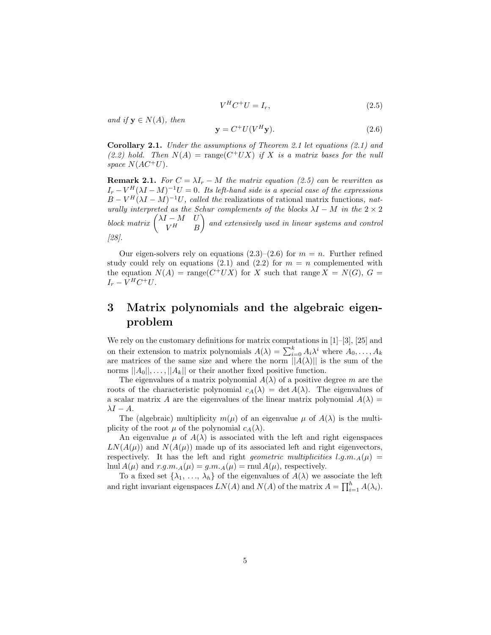$$
V^H C^+ U = I_r,\tag{2.5}
$$

and if  $y \in N(A)$ , then

$$
\mathbf{y} = C^+ U(V^H \mathbf{y}).\tag{2.6}
$$

Corollary 2.1. Under the assumptions of Theorem 2.1 let equations (2.1) and (2.2) hold. Then  $N(A) = \text{range}(C^+UX)$  if X is a matrix bases for the null space  $N(AC^+U)$ .

**Remark 2.1.** For  $C = \lambda I_r - M$  the matrix equation (2.5) can be rewritten as  $I_r - V^H (\lambda I - M)^{-1} U = 0$ . Its left-hand side is a special case of the expressions  $B - V^H (\lambda I - M)^{-1} U$ , called the realizations of rational matrix functions, naturally interpreted as the Schur complements of the blocks  $\lambda I - M$  in the  $2 \times 2$ block matrix  $\begin{pmatrix} \lambda I - M & U \\ V H & D \end{pmatrix}$  $V^H$  B and extensively used in linear systems and control [28].

Our eigen-solvers rely on equations  $(2.3)-(2.6)$  for  $m = n$ . Further refined study could rely on equations (2.1) and (2.2) for  $m = n$  complemented with the equation  $N(A)$  = range $(C^+UX)$  for X such that range  $X = N(G)$ ,  $G =$  $I_r - V^H C^+ U.$ 

## 3 Matrix polynomials and the algebraic eigenproblem

We rely on the customary definitions for matrix computations in  $[1]-[3]$ ,  $[25]$  and on their extension to matrix polynomials  $A(\lambda) = \sum_{i=0}^{k} A_i \lambda^i$  where  $A_0, \ldots, A_k$ are matrices of the same size and where the norm  $||A(\lambda)||$  is the sum of the norms  $||A_0||, \ldots, ||A_k||$  or their another fixed positive function.

The eigenvalues of a matrix polynomial  $A(\lambda)$  of a positive degree m are the roots of the characteristic polynomial  $c_A(\lambda) = \det A(\lambda)$ . The eigenvalues of a scalar matrix A are the eigenvalues of the linear matrix polynomial  $A(\lambda)$  =  $\lambda I - A$ .

The (algebraic) multiplicity  $m(\mu)$  of an eigenvalue  $\mu$  of  $A(\lambda)$  is the multiplicity of the root  $\mu$  of the polynomial  $c_A(\lambda)$ .

An eigenvalue  $\mu$  of  $A(\lambda)$  is associated with the left and right eigenspaces  $LN(A(\mu))$  and  $N(A(\mu))$  made up of its associated left and right eigenvectors, respectively. It has the left and right *geometric multiplicities l.g.m.* $_A(\mu)$  = lnul  $A(\mu)$  and  $r.g.m.A(\mu) = g.m.A(\mu) = \text{rnu} A(\mu)$ , respectively.

To a fixed set  $\{\lambda_1, \ldots, \lambda_h\}$  of the eigenvalues of  $A(\lambda)$  we associate the left and right invariant eigenspaces  $LN(A)$  and  $N(A)$  of the matrix  $A = \prod_{i=1}^{h} A(\lambda_i)$ .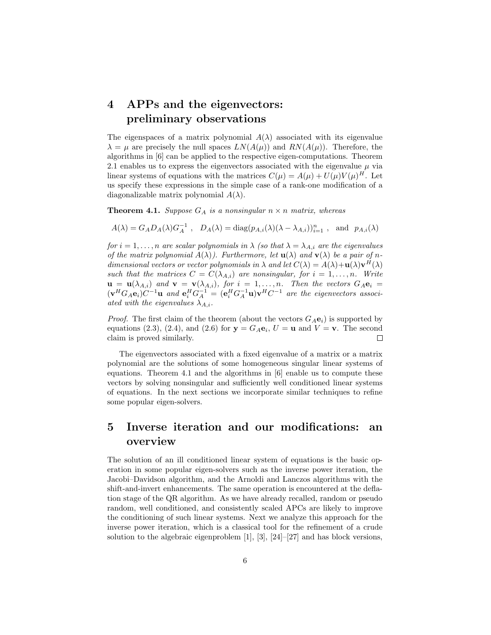# 4 APPs and the eigenvectors: preliminary observations

The eigenspaces of a matrix polynomial  $A(\lambda)$  associated with its eigenvalue  $\lambda = \mu$  are precisely the null spaces  $LN(A(\mu))$  and  $RN(A(\mu))$ . Therefore, the algorithms in [6] can be applied to the respective eigen-computations. Theorem 2.1 enables us to express the eigenvectors associated with the eigenvalue  $\mu$  via linear systems of equations with the matrices  $C(\mu) = A(\mu) + U(\mu)V(\mu)^H$ . Let us specify these expressions in the simple case of a rank-one modification of a diagonalizable matrix polynomial  $A(\lambda)$ .

**Theorem 4.1.** Suppose  $G_A$  is a nonsingular  $n \times n$  matrix, whereas

$$
A(\lambda) = G_A D_A(\lambda) G_A^{-1}
$$
,  $D_A(\lambda) = \text{diag}(p_{A,i}(\lambda)(\lambda - \lambda_{A,i}))_{i=1}^n$ , and  $p_{A,i}(\lambda)$ 

for  $i = 1, \ldots, n$  are scalar polynomials in  $\lambda$  (so that  $\lambda = \lambda_{A,i}$  are the eigenvalues of the matrix polynomial  $A(\lambda)$ ). Furthermore, let  $\mathbf{u}(\lambda)$  and  $\mathbf{v}(\lambda)$  be a pair of ndimensional vectors or vector polynomials in  $\lambda$  and let  $C(\lambda) = A(\lambda)+\mathbf{u}(\lambda)\mathbf{v}^H(\lambda)$ such that the matrices  $C = C(\lambda_{A,i})$  are nonsingular, for  $i = 1, \ldots, n$ . Write  $\mathbf{u} = \mathbf{u}(\lambda_{A,i})$  and  $\mathbf{v} = \mathbf{v}(\lambda_{A,i})$ , for  $i = 1, \ldots, n$ . Then the vectors  $G_A \mathbf{e}_i =$  $(\mathbf{v}^H G_A \mathbf{e}_i) C^{-1} \mathbf{u}$  and  $\mathbf{e}_i^H G_A^{-1} = (\mathbf{e}_i^H G_A^{-1} \mathbf{u}) \mathbf{v}^H C^{-1}$  are the eigenvectors associated with the eigenvalues  $\lambda_{A,i}$ .

*Proof.* The first claim of the theorem (about the vectors  $G_A\mathbf{e}_i$ ) is supported by equations (2.3), (2.4), and (2.6) for  $y = G_A e_i$ ,  $U = u$  and  $V = v$ . The second claim is proved similarly.  $\Box$ 

The eigenvectors associated with a fixed eigenvalue of a matrix or a matrix polynomial are the solutions of some homogeneous singular linear systems of equations. Theorem 4.1 and the algorithms in [6] enable us to compute these vectors by solving nonsingular and sufficiently well conditioned linear systems of equations. In the next sections we incorporate similar techniques to refine some popular eigen-solvers.

## 5 Inverse iteration and our modifications: an overview

The solution of an ill conditioned linear system of equations is the basic operation in some popular eigen-solvers such as the inverse power iteration, the Jacobi–Davidson algorithm, and the Arnoldi and Lanczos algorithms with the shift-and-invert enhancements. The same operation is encountered at the deflation stage of the QR algorithm. As we have already recalled, random or pseudo random, well conditioned, and consistently scaled APCs are likely to improve the conditioning of such linear systems. Next we analyze this approach for the inverse power iteration, which is a classical tool for the refinement of a crude solution to the algebraic eigenproblem [1], [3], [24]–[27] and has block versions,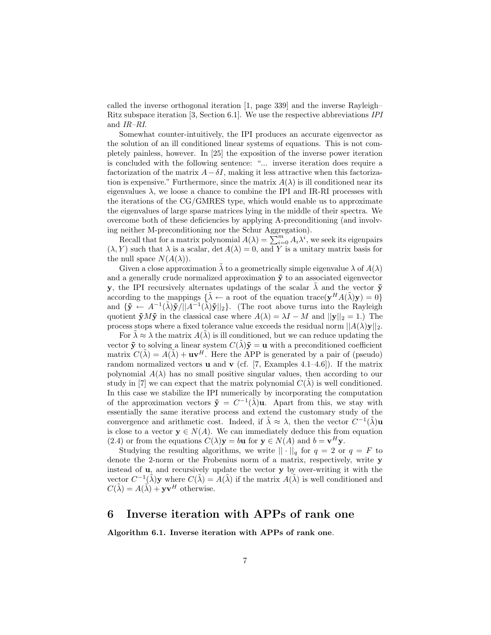called the inverse orthogonal iteration [1, page 339] and the inverse Rayleigh– Ritz subspace iteration [3, Section 6.1]. We use the respective abbreviations IPI and IR–RI.

Somewhat counter-intuitively, the IPI produces an accurate eigenvector as the solution of an ill conditioned linear systems of equations. This is not completely painless, however. In [25] the exposition of the inverse power iteration is concluded with the following sentence: "... inverse iteration does require a factorization of the matrix  $A-\delta I$ , making it less attractive when this factorization is expensive." Furthermore, since the matrix  $A(\lambda)$  is ill conditioned near its eigenvalues  $\lambda$ , we loose a chance to combine the IPI and IR-RI processes with the iterations of the CG/GMRES type, which would enable us to approximate the eigenvalues of large sparse matrices lying in the middle of their spectra. We overcome both of these deficiencies by applying A-preconditioning (and involving neither M-preconditioning nor the Schur Aggregation).

Recall that for a matrix polynomial  $A(\lambda) = \sum_{i=0}^{\infty} A_i \lambda^i$ , we seek its eigenpairs  $(\lambda, Y)$  such that  $\lambda$  is a scalar,  $\det A(\lambda) = 0$ , and Y is a unitary matrix basis for the null space  $N(A(\lambda))$ .

Given a close approximation  $\lambda$  to a geometrically simple eigenvalue  $\lambda$  of  $A(\lambda)$ and a generally crude normalized approximation  $\tilde{y}$  to an associated eigenvector y, the IPI recursively alternates updatings of the scalar  $\tilde{\lambda}$  and the vector  $\tilde{\mathbf{y}}$ according to the mappings  $\{\tilde{\lambda} \leftarrow \alpha\}$  root of the equation trace( $\mathbf{y}^H A(\tilde{\lambda}) \mathbf{y} = 0$ ) and  $\{\tilde{\mathbf{y}} \leftarrow A^{-1}(\tilde{\lambda})\tilde{\mathbf{y}}/||A^{-1}(\tilde{\lambda})\tilde{\mathbf{y}}||_2\}$ . (The root above turns into the Rayleigh quotient  $\tilde{\mathbf{y}}M\tilde{\mathbf{y}}$  in the classical case where  $A(\lambda) = \lambda I - M$  and  $||\mathbf{y}||_2 = 1$ .) The process stops where a fixed tolerance value exceeds the residual norm  $||A(\lambda)\mathbf{y}||_2$ .

For  $\tilde{\lambda} \approx \lambda$  the matrix  $A(\tilde{\lambda})$  is ill conditioned, but we can reduce updating the vector  $\tilde{\mathbf{y}}$  to solving a linear system  $C(\tilde{\lambda})\tilde{\mathbf{y}} = \mathbf{u}$  with a preconditioned coefficient matrix  $C(\tilde{\lambda}) = A(\tilde{\lambda}) + \mathbf{u}\mathbf{v}^H$ . Here the APP is generated by a pair of (pseudo) random normalized vectors **u** and **v** (cf. [7, Examples 4.1–4.6]). If the matrix polynomial  $A(\lambda)$  has no small positive singular values, then according to our study in [7] we can expect that the matrix polynomial  $C(\lambda)$  is well conditioned. In this case we stabilize the IPI numerically by incorporating the computation of the approximation vectors  $\tilde{\mathbf{y}} = C^{-1}(\tilde{\lambda})\mathbf{u}$ . Apart from this, we stay with essentially the same iterative process and extend the customary study of the convergence and arithmetic cost. Indeed, if  $\tilde{\lambda} \approx \lambda$ , then the vector  $C^{-1}(\tilde{\lambda})$ u is close to a vector  $y \in N(A)$ . We can immediately deduce this from equation (2.4) or from the equations  $C(\lambda)$ **y** = b**u** for **y**  $\in N(A)$  and  $b = \mathbf{v}^H \mathbf{y}$ .

Studying the resulting algorithms, we write  $|| \cdot ||_q$  for  $q = 2$  or  $q = F$  to denote the 2-norm or the Frobenius norm of a matrix, respectively, write y instead of u, and recursively update the vector y by over-writing it with the vector  $C^{-1}(\tilde{\lambda})\mathbf{y}$  where  $C(\tilde{\lambda}) = A(\tilde{\lambda})$  if the matrix  $A(\tilde{\lambda})$  is well conditioned and  $C(\tilde{\lambda}) = A(\tilde{\lambda}) + \mathbf{y}\mathbf{v}^H$  otherwise.

### 6 Inverse iteration with APPs of rank one

Algorithm 6.1. Inverse iteration with APPs of rank one.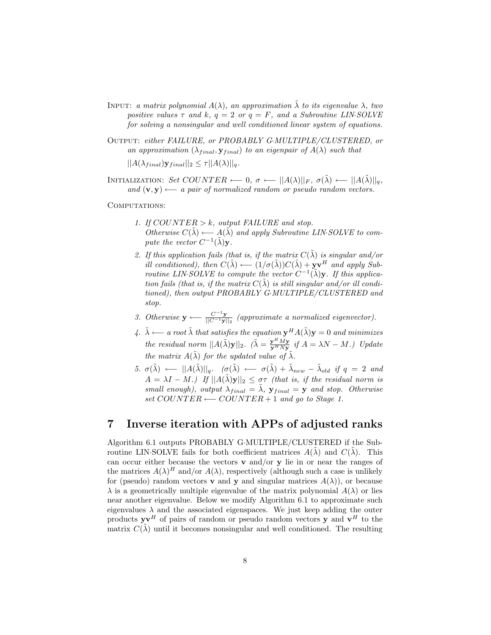- INPUT: a matrix polynomial  $A(\lambda)$ , an approximation  $\tilde{\lambda}$  to its eigenvalue  $\lambda$ , two positive values  $\tau$  and  $k, q = 2$  or  $q = F$ , and a Subroutine LIN-SOLVE for solving a nonsingular and well conditioned linear system of equations.
- Output: either FAILURE, or PROBABLY G·MULTIPLE/CLUSTERED, or an approximation  $(\lambda_{final}, \mathbf{y}_{final})$  to an eigenpair of  $A(\lambda)$  such that  $||A(\lambda_{final})\mathbf{y}_{final}||_2 \leq \tau ||A(\lambda)||_q.$
- INITIALIZATION: Set COUNTER ← 0,  $\sigma \leftarrow ||A(\lambda)||_F$ ,  $\sigma(\tilde{\lambda}) \leftarrow ||A(\tilde{\lambda})||_q$ , and  $(v, y) \longleftarrow$  a pair of normalized random or pseudo random vectors.

COMPUTATIONS:

- 1. If  $COUNTER > k$ , output FAILURE and stop. Otherwise  $C(\tilde{\lambda}) \longleftarrow A(\tilde{\lambda})$  and apply Subroutine LIN·SOLVE to compute the vector  $C^{-1}(\tilde{\lambda})\mathbf{y}$ .
- 2. If this application fails (that is, if the matrix  $C(\tilde{\lambda})$  is singular and/or ill conditioned), then  $C(\tilde{\lambda}) \longleftarrow (1/\sigma(\tilde{\lambda}))C(\tilde{\lambda}) + \mathbf{y}\mathbf{v}^H$  and apply Subroutine LIN SOLVE to compute the vector  $C^{-1}(\tilde{\lambda})\mathbf{y}$ . If this application fails (that is, if the matrix  $C(\lambda)$  is still singular and/or ill conditioned), then output PROBABLY G·MULTIPLE/CLUSTERED and stop.
- 3. Otherwise  $\mathbf{y} \longleftarrow \frac{C^{-1}\mathbf{y}}{\|C^{-1}\mathbf{y}\|_2}$  (approximate a normalized eigenvector).
- 4.  $\tilde{\lambda}$  ←− a root  $\tilde{\lambda}$  that satisfies the equation  $\mathbf{y}^H A(\tilde{\lambda}) \mathbf{y} = 0$  and minimizes the residual norm  $||A(\tilde{\lambda})\mathbf{y}||_2$ .  $(\tilde{\lambda} = \frac{\mathbf{y}^H M \mathbf{y}}{\mathbf{y}^H N \mathbf{y}}$  if  $A = \lambda N - M$ .) Update the matrix  $A(\tilde{\lambda})$  for the updated value of  $\tilde{\lambda}$ .
- 5.  $\sigma(\tilde{\lambda}) \longleftarrow ||A(\tilde{\lambda})||_q$ .  $(\sigma(\tilde{\lambda}) \longleftarrow \sigma(\tilde{\lambda}) + \tilde{\lambda}_{new} \tilde{\lambda}_{old}$  if  $q = 2$  and  $A = \lambda I - M$ .) If  $||A(\tilde{\lambda})y||_2 \leq \sigma\tau$  (that is, if the residual norm is small enough), output  $\lambda_{final} = \lambda$ ,  $\mathbf{y}_{final} = \mathbf{y}$  and stop. Otherwise set  $COUNTER \longleftarrow COUNTER + 1$  and go to Stage 1.

### 7 Inverse iteration with APPs of adjusted ranks

Algorithm 6.1 outputs PROBABLY G·MULTIPLE/CLUSTERED if the Subroutine LIN-SOLVE fails for both coefficient matrices  $A(\lambda)$  and  $C(\lambda)$ . This can occur either because the vectors  $\bf{v}$  and/or  $\bf{v}$  lie in or near the ranges of the matrices  $A(\lambda)^H$  and/or  $A(\lambda)$ , respectively (although such a case is unlikely for (pseudo) random vectors **v** and **y** and singular matrices  $A(\lambda)$ ), or because  $\lambda$  is a geometrically multiple eigenvalue of the matrix polynomial  $A(\lambda)$  or lies near another eigenvalue. Below we modify Algorithm 6.1 to approximate such eigenvalues  $\lambda$  and the associated eigenspaces. We just keep adding the outer products  $\mathbf{y}\mathbf{v}^H$  of pairs of random or pseudo random vectors  $\mathbf{y}$  and  $\mathbf{v}^H$  to the matrix  $C(\tilde{\lambda})$  until it becomes nonsingular and well conditioned. The resulting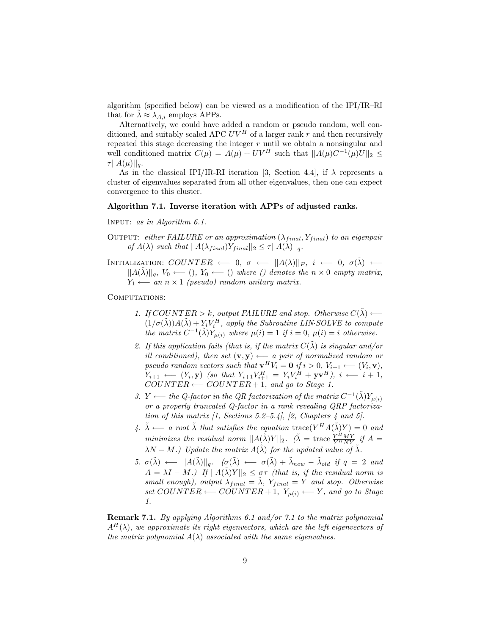algorithm (specified below) can be viewed as a modification of the IPI/IR–RI that for  $\lambda \approx \lambda_{A,i}$  employs APPs.

Alternatively, we could have added a random or pseudo random, well conditioned, and suitably scaled APC  $UV^H$  of a larger rank r and then recursively repeated this stage decreasing the integer  $r$  until we obtain a nonsingular and well conditioned matrix  $C(\mu) = A(\mu) + UV^H$  such that  $||A(\mu)C^{-1}(\mu)U||_2 \le$  $\tau ||A(\mu)||_q.$ 

As in the classical IPI/IR-RI iteration [3, Section 4.4], if  $\lambda$  represents a cluster of eigenvalues separated from all other eigenvalues, then one can expect convergence to this cluster.

#### Algorithm 7.1. Inverse iteration with APPs of adjusted ranks.

Input: as in Algorithm 6.1.

- OUTPUT: either FAILURE or an approximation  $(\lambda_{final}, Y_{final})$  to an eigenpair of  $A(\lambda)$  such that  $||A(\lambda_{final})Y_{final}||_2 \leq \tau ||A(\lambda)||_q$ .
- INITIALIZATION:  $COUNTER \leftarrow 0, \sigma \leftarrow ||A(\lambda)||_F, i \leftarrow 0, \sigma(\tilde{\lambda}) \leftarrow$  $||A(\lambda)||_q$ ,  $V_0 \leftarrow (0)$ ,  $Y_0 \leftarrow (0)$  where () denotes the  $n \times 0$  empty matrix,  $Y_1 \longleftarrow$  an n × 1 (pseudo) random unitary matrix.

COMPUTATIONS:

- 1. If COUNTER > k, output FAILURE and stop. Otherwise  $C(\tilde{\lambda}) \longleftarrow$  $(1/\sigma(\tilde{\lambda}))A(\tilde{\lambda}) + Y_i V_i^H$ , apply the Subroutine LIN·SOLVE to compute the matrix  $C^{-1}(\tilde{\lambda})Y_{\mu(i)}$  where  $\mu(i) = 1$  if  $i = 0$ ,  $\mu(i) = i$  otherwise.
- 2. If this application fails (that is, if the matrix  $C(\tilde{\lambda})$  is singular and/or ill conditioned), then set  $(v, y) \longleftarrow$  a pair of normalized random or pseudo random vectors such that  $\mathbf{v}^H V_i = \mathbf{0}$  if  $i > 0$ ,  $V_{i+1} \longleftarrow (V_i, \mathbf{v})$ ,  $Y_{i+1} \longleftarrow (Y_i, \mathbf{y})$  (so that  $Y_{i+1}V_{i+1}^H = Y_iV_i^H + \mathbf{y}\mathbf{v}^H$ ),  $i \longleftarrow i+1$ ,  $COUNTER \longleftarrow COUNTER + 1, and go to Stage 1.$
- 3. Y  $\longleftarrow$  the Q-factor in the QR factorization of the matrix  $C^{-1}(\tilde{\lambda})Y_{\mu(i)}$ or a properly truncated Q-factor in a rank revealing QRP factorization of this matrix  $\begin{bmatrix} 1, & \text{Sections } 5.2-5.4 \end{bmatrix}$ ,  $\begin{bmatrix} 2, & \text{Chapters } 4 \text{ and } 5 \end{bmatrix}$ .
- 4.  $\tilde{\lambda} \longleftarrow$  a root  $\tilde{\lambda}$  that satisfies the equation trace( $Y^H A(\tilde{\lambda}) Y$ ) = 0 and minimizes the residual norm  $||A(\tilde{\lambda})Y||_2$ .  $(\tilde{\lambda})$  = trace  $\frac{Y^HMY}{Y^HNY}$  if  $A$  =  $\lambda N - M$ .) Update the matrix  $A(\tilde{\lambda})$  for the updated value of  $\tilde{\lambda}$ .
- 5.  $\sigma(\tilde{\lambda}) \longleftarrow ||A(\tilde{\lambda})||_q$ .  $(\sigma(\tilde{\lambda}) \longleftarrow \sigma(\tilde{\lambda}) + \tilde{\lambda}_{new} \tilde{\lambda}_{old}$  if  $q = 2$  and  $A = \lambda I - M$ .) If  $||A(\tilde{\lambda})Y||_2 \leq \sigma\tau$  (that is, if the residual norm is small enough), output  $\lambda_{final} = \tilde{\lambda}, Y_{final} = Y$  and stop. Otherwise set  $COUNTER \longleftarrow COUNTER + 1, Y_{\mu(i)} \longleftarrow Y$ , and go to Stage 1.

Remark 7.1. By applying Algorithms 6.1 and/or 7.1 to the matrix polynomial  $A^H(\lambda)$ , we approximate its right eigenvectors, which are the left eigenvectors of the matrix polynomial  $A(\lambda)$  associated with the same eigenvalues.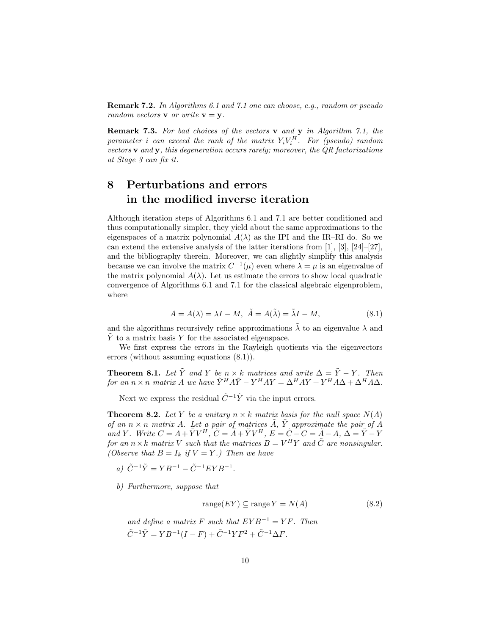Remark 7.2. In Algorithms 6.1 and 7.1 one can choose, e.g., random or pseudo random vectors **v** or write  $\mathbf{v} = \mathbf{y}$ .

Remark 7.3. For bad choices of the vectors v and y in Algorithm 7.1, the parameter i can exceed the rank of the matrix  $Y_iV_i^H$ . For (pseudo) random vectors  $\bf{v}$  and  $\bf{y}$ , this degeneration occurs rarely; moreover, the QR factorizations at Stage 3 can fix it.

# 8 Perturbations and errors in the modified inverse iteration

Although iteration steps of Algorithms 6.1 and 7.1 are better conditioned and thus computationally simpler, they yield about the same approximations to the eigenspaces of a matrix polynomial  $A(\lambda)$  as the IPI and the IR–RI do. So we can extend the extensive analysis of the latter iterations from [1], [3], [24]–[27], and the bibliography therein. Moreover, we can slightly simplify this analysis because we can involve the matrix  $C^{-1}(\mu)$  even where  $\lambda = \mu$  is an eigenvalue of the matrix polynomial  $A(\lambda)$ . Let us estimate the errors to show local quadratic convergence of Algorithms 6.1 and 7.1 for the classical algebraic eigenproblem, where

$$
A = A(\lambda) = \lambda I - M, \ \tilde{A} = A(\tilde{\lambda}) = \tilde{\lambda}I - M,\tag{8.1}
$$

and the algorithms recursively refine approximations  $\lambda$  to an eigenvalue  $\lambda$  and  $Y$  to a matrix basis Y for the associated eigenspace.

We first express the errors in the Rayleigh quotients via the eigenvectors errors (without assuming equations (8.1)).

**Theorem 8.1.** Let  $\tilde{Y}$  and Y be  $n \times k$  matrices and write  $\Delta = \tilde{Y} - Y$ . Then for an  $n \times n$  matrix A we have  $\tilde{Y}^H A \tilde{Y} - Y^H A Y = \Delta^H A Y + Y^H A \Delta + \Delta^H A \Delta$ .

Next we express the residual  $\tilde{C}^{-1}\tilde{Y}$  via the input errors.

**Theorem 8.2.** Let Y be a unitary  $n \times k$  matrix basis for the null space  $N(A)$ of an  $n \times n$  matrix A. Let a pair of matrices  $\tilde{A}$ ,  $\tilde{Y}$  approximate the pair of A and Y. Write  $C = A + \tilde{Y}V^H$ ,  $\tilde{C} = \tilde{A} + \tilde{Y}V^H$ ,  $E = \tilde{C} - C = \tilde{A} - A$ ,  $\Delta = \tilde{Y} - Y$ for an  $n \times k$  matrix V such that the matrices  $B = V^H Y$  and  $\tilde{C}$  are nonsingular. (Observe that  $B = I_k$  if  $V = Y$ .) Then we have

- a)  $\tilde{C}^{-1}\tilde{Y} = YB^{-1} \tilde{C}^{-1}EYB^{-1}.$
- b) Furthermore, suppose that

$$
range(EY) \subseteq range Y = N(A) \tag{8.2}
$$

and define a matrix F such that  $EYB^{-1} = YF$ . Then  $\tilde{C}^{-1}\tilde{Y} = YB^{-1}(I - F) + \tilde{C}^{-1}YF^2 + \tilde{C}^{-1}\Delta F.$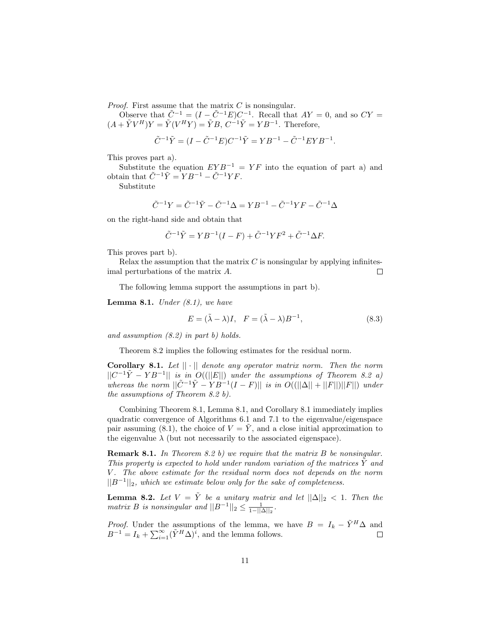*Proof.* First assume that the matrix  $C$  is nonsingular.

Observe that  $\tilde{C}^{-1} = (I - \tilde{C}^{-1}E)C^{-1}$ . Recall that  $AY = 0$ , and so  $CY =$  $(A + \tilde{Y}V^H)Y = \tilde{Y}(V^H Y) = \tilde{Y}B, C^{-1}\tilde{Y} = YB^{-1}$ . Therefore,

$$
\tilde{C}^{-1}\tilde{Y} = (I - \tilde{C}^{-1}E)C^{-1}\tilde{Y} = YB^{-1} - \tilde{C}^{-1}EYB^{-1}.
$$

This proves part a).

Substitute the equation  $EYB^{-1} = YF$  into the equation of part a) and obtain that  $\tilde{C}^{-1}\tilde{Y} = YB^{-1} - \tilde{C}^{-1}YF$ .

Substitute

$$
\tilde{C}^{-1}Y = \tilde{C}^{-1}\tilde{Y} - \tilde{C}^{-1}\Delta = YB^{-1} - \tilde{C}^{-1}YF - \tilde{C}^{-1}\Delta
$$

on the right-hand side and obtain that

$$
\tilde{C}^{-1}\tilde{Y} = YB^{-1}(I - F) + \tilde{C}^{-1}YF^{2} + \tilde{C}^{-1}\Delta F.
$$

This proves part b).

Relax the assumption that the matrix  $C$  is nonsingular by applying infinitesimal perturbations of the matrix A.  $\Box$ 

The following lemma support the assumptions in part b).

**Lemma 8.1.** Under  $(8.1)$ , we have

$$
E = (\tilde{\lambda} - \lambda)I, \quad F = (\tilde{\lambda} - \lambda)B^{-1}, \tag{8.3}
$$

and assumption (8.2) in part b) holds.

Theorem 8.2 implies the following estimates for the residual norm.

**Corollary 8.1.** Let  $|| \cdot ||$  denote any operator matrix norm. Then the norm  $||C^{-1}\tilde{Y} - YB^{-1}||$  is in  $O((||E||)$  under the assumptions of Theorem 8.2 a) whereas the norm  $||\tilde{C}^{-1}\tilde{Y} - YB^{-1}(I - F)||$  is in  $O((||\Delta|| + ||F||)||F||)$  under the assumptions of Theorem 8.2 b).

Combining Theorem 8.1, Lemma 8.1, and Corollary 8.1 immediately implies quadratic convergence of Algorithms 6.1 and 7.1 to the eigenvalue/eigenspace pair assuming (8.1), the choice of  $V = \tilde{Y}$ , and a close initial approximation to the eigenvalue  $\lambda$  (but not necessarily to the associated eigenspace).

**Remark 8.1.** In Theorem 8.2 b) we require that the matrix  $B$  be nonsingular. This property is expected to hold under random variation of the matrices  $\tilde{Y}$  and V. The above estimate for the residual norm does not depends on the norm  $||B^{-1}||_2$ , which we estimate below only for the sake of completeness.

**Lemma 8.2.** Let  $V = \tilde{Y}$  be a unitary matrix and let  $||\Delta||_2 < 1$ . Then the matrix B is nonsingular and  $||B^{-1}||_2 \leq \frac{1}{1-||\Delta||_2}$ .

*Proof.* Under the assumptions of the lemma, we have  $B = I_k - \tilde{Y}^H \Delta$  and  $B^{-1} = I_k + \sum_{i=1}^{\infty} (\tilde{Y}^H \Delta)^i$ , and the lemma follows.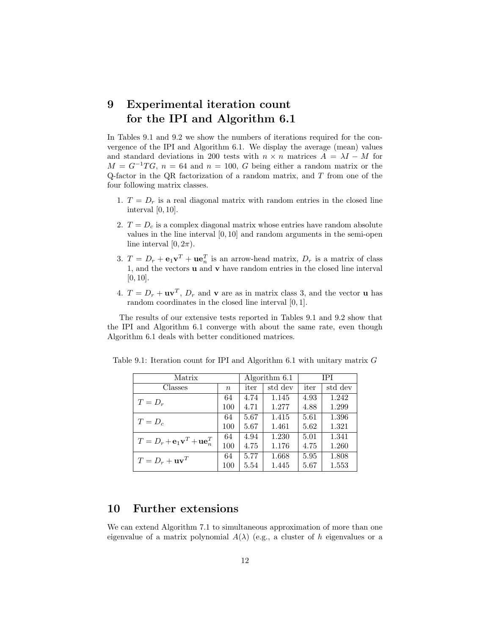## 9 Experimental iteration count for the IPI and Algorithm 6.1

In Tables 9.1 and 9.2 we show the numbers of iterations required for the convergence of the IPI and Algorithm 6.1. We display the average (mean) values and standard deviations in 200 tests with  $n \times n$  matrices  $A = \lambda I - M$  for  $M = G^{-1}TG$ ,  $n = 64$  and  $n = 100$ , G being either a random matrix or the Q-factor in the QR factorization of a random matrix, and  $T$  from one of the four following matrix classes.

- 1.  $T = D<sub>r</sub>$  is a real diagonal matrix with random entries in the closed line interval [0, 10].
- 2.  $T = D_c$  is a complex diagonal matrix whose entries have random absolute values in the line interval [0, 10] and random arguments in the semi-open line interval  $[0, 2\pi)$ .
- 3.  $T = D_r + \mathbf{e}_1 \mathbf{v}^T + \mathbf{u} \mathbf{e}_n^T$  is an arrow-head matrix,  $D_r$  is a matrix of class 1, and the vectors u and v have random entries in the closed line interval  $[0, 10]$ .
- 4.  $T = D_r + \mathbf{u}\mathbf{v}^T$ ,  $D_r$  and  $\mathbf{v}$  are as in matrix class 3, and the vector  $\mathbf{u}$  has random coordinates in the closed line interval [0, 1].

The results of our extensive tests reported in Tables 9.1 and 9.2 show that the IPI and Algorithm 6.1 converge with about the same rate, even though Algorithm 6.1 deals with better conditioned matrices.

| Matrix                                                            |        | Algorithm 6.1 |         | <b>TPI</b> |         |
|-------------------------------------------------------------------|--------|---------------|---------|------------|---------|
| Classes                                                           | $\, n$ | iter          | std dev | iter       | std dev |
| $T=D_r$                                                           | 64     | 4.74          | 1.145   | 4.93       | 1.242   |
|                                                                   | 100    | 4.71          | 1.277   | 4.88       | 1.299   |
| $T=D_c$                                                           | 64     | 5.67          | 1.415   | 5.61       | 1.396   |
|                                                                   | 100    | 5.67          | 1.461   | 5.62       | 1.321   |
| $T = D_r + \mathbf{e}_1 \mathbf{v}^T + \mathbf{u} \mathbf{e}_n^T$ | 64     | 4.94          | 1.230   | 5.01       | 1.341   |
|                                                                   | 100    | 4.75          | 1.176   | 4.75       | 1.260   |
| $T = D_r + \mathbf{u}\mathbf{v}^T$                                | 64     | 5.77          | 1.668   | 5.95       | 1.808   |
|                                                                   | 100    | 5.54          | 1.445   | 5.67       | 1.553   |

Table 9.1: Iteration count for IPI and Algorithm 6.1 with unitary matrix G

## 10 Further extensions

We can extend Algorithm 7.1 to simultaneous approximation of more than one eigenvalue of a matrix polynomial  $A(\lambda)$  (e.g., a cluster of h eigenvalues or a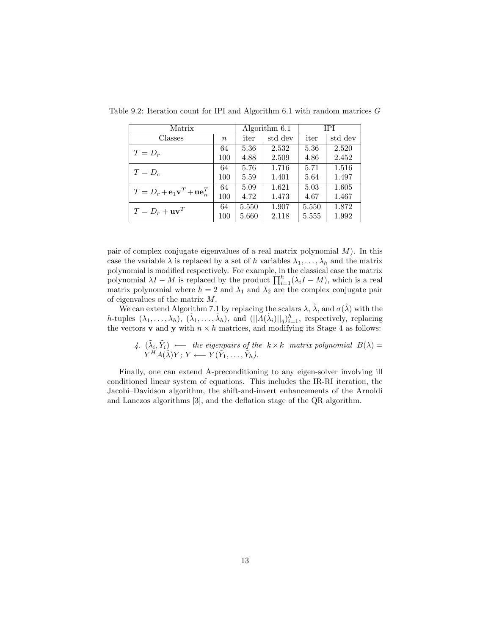| Matrix                                                            |                  | Algorithm 6.1 |         | IPI   |         |
|-------------------------------------------------------------------|------------------|---------------|---------|-------|---------|
| Classes                                                           | $\boldsymbol{n}$ | iter          | std dev | iter  | std dev |
| $T=D_r$                                                           | 64               | 5.36          | 2.532   | 5.36  | 2.520   |
|                                                                   | 100              | 4.88          | 2.509   | 4.86  | 2.452   |
| $T=D_c$                                                           | 64               | 5.76          | 1.716   | 5.71  | 1.516   |
|                                                                   | 100              | 5.59          | 1.401   | 5.64  | 1.497   |
| $T = D_r + \mathbf{e}_1 \mathbf{v}^T + \mathbf{u} \mathbf{e}_n^T$ | 64               | 5.09          | 1.621   | 5.03  | 1.605   |
|                                                                   | 100              | 4.72          | 1.473   | 4.67  | 1.467   |
| $T = D_r + uv^T$                                                  | 64               | 5.550         | 1.907   | 5.550 | 1.872   |
|                                                                   | 100              | 5.660         | 2.118   | 5.555 | 1.992   |

Table 9.2: Iteration count for IPI and Algorithm  $6.1$  with random matrices  $G$ 

pair of complex conjugate eigenvalues of a real matrix polynomial  $M$ ). In this case the variable  $\lambda$  is replaced by a set of h variables  $\lambda_1, \ldots, \lambda_h$  and the matrix polynomial is modified respectively. For example, in the classical case the matrix polynomial  $\lambda I - M$  is replaced by the product  $\prod_{i=1}^{h} (\lambda_i I - M)$ , which is a real matrix polynomial where  $h = 2$  and  $\lambda_1$  and  $\lambda_2$  are the complex conjugate pair of eigenvalues of the matrix M.

We can extend Algorithm 7.1 by replacing the scalars  $\lambda$ ,  $\tilde{\lambda}$ , and  $\sigma(\tilde{\lambda})$  with the h-tuples  $(\lambda_1,\ldots,\lambda_h)$ ,  $(\tilde{\lambda}_1,\ldots,\tilde{\lambda}_h)$ , and  $(||\tilde{A}(\tilde{\lambda}_i)||_q)_{i=1}^h$ , respectively, replacing the vectors **v** and **y** with  $n \times h$  matrices, and modifying its Stage 4 as follows:

4. 
$$
(\tilde{\lambda}_i, \tilde{Y}_i) \longleftarrow
$$
 the eigenpairs of the  $k \times k$  matrix polynomial  $B(\lambda) = Y^H A(\tilde{\lambda}) Y; Y \longleftarrow Y(\tilde{Y}_1, \ldots, \tilde{Y}_h).$ 

Finally, one can extend A-preconditioning to any eigen-solver involving ill conditioned linear system of equations. This includes the IR-RI iteration, the Jacobi–Davidson algorithm, the shift-and-invert enhancements of the Arnoldi and Lanczos algorithms [3], and the deflation stage of the QR algorithm.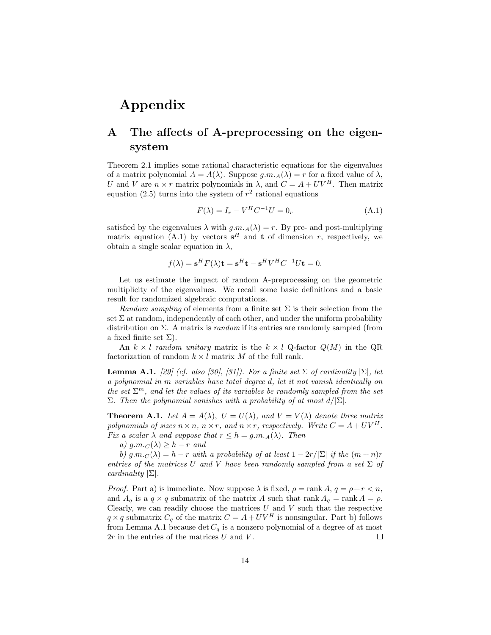# Appendix

# A The affects of A-preprocessing on the eigensystem

Theorem 2.1 implies some rational characteristic equations for the eigenvalues of a matrix polynomial  $A = A(\lambda)$ . Suppose  $g.m.A(\lambda) = r$  for a fixed value of  $\lambda$ , U and V are  $n \times r$  matrix polynomials in  $\lambda$ , and  $C = A + UV^H$ . Then matrix equation (2.5) turns into the system of  $r^2$  rational equations

$$
F(\lambda) = I_r - V^H C^{-1} U = 0_r \tag{A.1}
$$

satisfied by the eigenvalues  $\lambda$  with  $q.m.A(\lambda) = r$ . By pre- and post-multiplying matrix equation (A.1) by vectors  $s^H$  and **t** of dimension r, respectively, we obtain a single scalar equation in  $\lambda$ ,

$$
f(\lambda) = \mathbf{s}^H F(\lambda)\mathbf{t} = \mathbf{s}^H \mathbf{t} - \mathbf{s}^H V^H C^{-1} U \mathbf{t} = 0.
$$

Let us estimate the impact of random A-preprocessing on the geometric multiplicity of the eigenvalues. We recall some basic definitions and a basic result for randomized algebraic computations.

Random sampling of elements from a finite set  $\Sigma$  is their selection from the set  $\Sigma$  at random, independently of each other, and under the uniform probability distribution on  $\Sigma$ . A matrix is *random* if its entries are randomly sampled (from a fixed finite set  $\Sigma$ ).

An  $k \times l$  random unitary matrix is the  $k \times l$  Q-factor  $Q(M)$  in the QR factorization of random  $k \times l$  matrix M of the full rank.

**Lemma A.1.** [29] (cf. also [30], [31]). For a finite set  $\Sigma$  of cardinality  $|\Sigma|$ , let a polynomial in m variables have total degree d, let it not vanish identically on the set  $\Sigma^m$ , and let the values of its variables be randomly sampled from the set Σ. Then the polynomial vanishes with a probability of at most  $d/|\Sigma|$ .

**Theorem A.1.** Let  $A = A(\lambda)$ ,  $U = U(\lambda)$ , and  $V = V(\lambda)$  denote three matrix polynomials of sizes  $n \times n$ ,  $n \times r$ , and  $n \times r$ , respectively. Write  $C = A + UV^H$ . Fix a scalar  $\lambda$  and suppose that  $r \leq h = g.m.A(\lambda)$ . Then

a)  $g.m.c(\lambda) \geq h-r$  and

b)  $g.m.c(\lambda) = h - r$  with a probability of at least  $1 - 2r/|\Sigma|$  if the  $(m+n)r$ entries of the matrices U and V have been randomly sampled from a set  $\Sigma$  of cardinality  $|\Sigma|$ .

*Proof.* Part a) is immediate. Now suppose  $\lambda$  is fixed,  $\rho = \text{rank } A, q = \rho + r < n$ , and  $A_q$  is a  $q \times q$  submatrix of the matrix A such that rank  $A_q = \text{rank } A = \rho$ . Clearly, we can readily choose the matrices  $U$  and  $V$  such that the respective  $q \times q$  submatrix  $C_q$  of the matrix  $C = A + UV^H$  is nonsingular. Part b) follows from Lemma A.1 because det  $C_q$  is a nonzero polynomial of a degree of at most  $2r$  in the entries of the matrices U and V.  $\Box$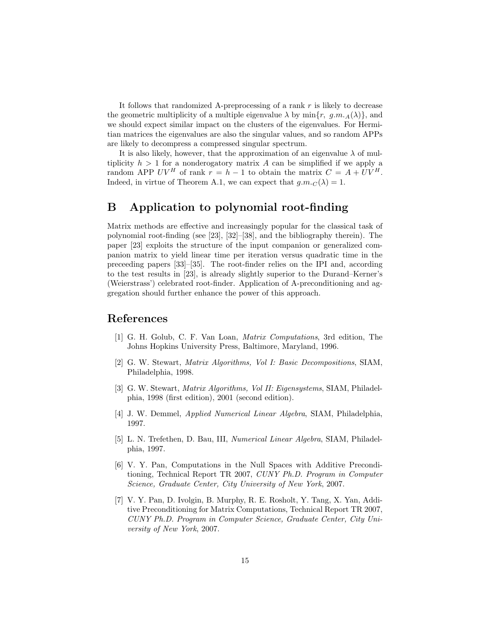It follows that randomized A-preprocessing of a rank  $r$  is likely to decrease the geometric multiplicity of a multiple eigenvalue  $\lambda$  by  $\min\{r, g.m.A(\lambda)\}\)$ , and we should expect similar impact on the clusters of the eigenvalues. For Hermitian matrices the eigenvalues are also the singular values, and so random APPs are likely to decompress a compressed singular spectrum.

It is also likely, however, that the approximation of an eigenvalue  $\lambda$  of multiplicity  $h > 1$  for a nonderogatory matrix A can be simplified if we apply a random APP  $UV^H$  of rank  $r = h - 1$  to obtain the matrix  $C = A + UV^H$ . Indeed, in virtue of Theorem A.1, we can expect that  $q.m.c(\lambda) = 1$ .

### B Application to polynomial root-finding

Matrix methods are effective and increasingly popular for the classical task of polynomial root-finding (see [23], [32]–[38], and the bibliography therein). The paper [23] exploits the structure of the input companion or generalized companion matrix to yield linear time per iteration versus quadratic time in the preceeding papers [33]–[35]. The root-finder relies on the IPI and, according to the test results in [23], is already slightly superior to the Durand–Kerner's (Weierstrass') celebrated root-finder. Application of A-preconditioning and aggregation should further enhance the power of this approach.

### References

- [1] G. H. Golub, C. F. Van Loan, Matrix Computations, 3rd edition, The Johns Hopkins University Press, Baltimore, Maryland, 1996.
- [2] G. W. Stewart, Matrix Algorithms, Vol I: Basic Decompositions, SIAM, Philadelphia, 1998.
- [3] G. W. Stewart, Matrix Algorithms, Vol II: Eigensystems, SIAM, Philadelphia, 1998 (first edition), 2001 (second edition).
- [4] J. W. Demmel, Applied Numerical Linear Algebra, SIAM, Philadelphia, 1997.
- [5] L. N. Trefethen, D. Bau, III, Numerical Linear Algebra, SIAM, Philadelphia, 1997.
- [6] V. Y. Pan, Computations in the Null Spaces with Additive Preconditioning, Technical Report TR 2007, CUNY Ph.D. Program in Computer Science, Graduate Center, City University of New York, 2007.
- [7] V. Y. Pan, D. Ivolgin, B. Murphy, R. E. Rosholt, Y. Tang, X. Yan, Additive Preconditioning for Matrix Computations, Technical Report TR 2007, CUNY Ph.D. Program in Computer Science, Graduate Center, City University of New York, 2007.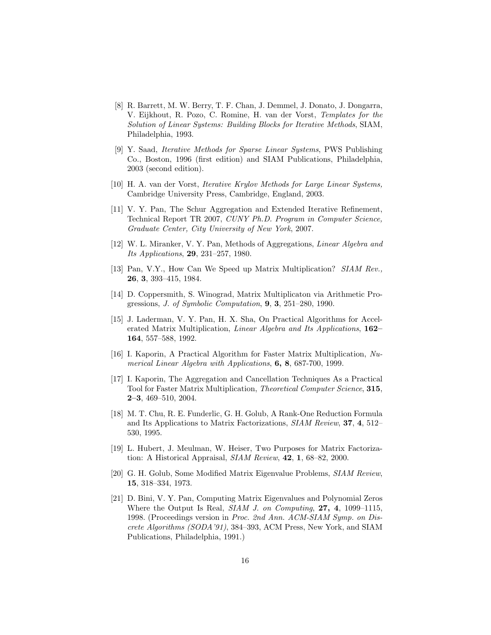- [8] R. Barrett, M. W. Berry, T. F. Chan, J. Demmel, J. Donato, J. Dongarra, V. Eijkhout, R. Pozo, C. Romine, H. van der Vorst, Templates for the Solution of Linear Systems: Building Blocks for Iterative Methods, SIAM, Philadelphia, 1993.
- [9] Y. Saad, Iterative Methods for Sparse Linear Systems, PWS Publishing Co., Boston, 1996 (first edition) and SIAM Publications, Philadelphia, 2003 (second edition).
- [10] H. A. van der Vorst, Iterative Krylov Methods for Large Linear Systems, Cambridge University Press, Cambridge, England, 2003.
- [11] V. Y. Pan, The Schur Aggregation and Extended Iterative Refinement, Technical Report TR 2007, CUNY Ph.D. Program in Computer Science, Graduate Center, City University of New York, 2007.
- [12] W. L. Miranker, V. Y. Pan, Methods of Aggregations, Linear Algebra and Its Applications, 29, 231–257, 1980.
- [13] Pan, V.Y., How Can We Speed up Matrix Multiplication? SIAM Rev., 26, 3, 393–415, 1984.
- [14] D. Coppersmith, S. Winograd, Matrix Multiplicaton via Arithmetic Progressions, *J. of Symbolic Computation*, **9**, **3**, 251–280, 1990.
- [15] J. Laderman, V. Y. Pan, H. X. Sha, On Practical Algorithms for Accelerated Matrix Multiplication, Linear Algebra and Its Applications, 162– 164, 557–588, 1992.
- [16] I. Kaporin, A Practical Algorithm for Faster Matrix Multiplication, Numerical Linear Algebra with Applications, 6, 8, 687-700, 1999.
- [17] I. Kaporin, The Aggregation and Cancellation Techniques As a Practical Tool for Faster Matrix Multiplication, Theoretical Computer Science, 315, 2–3, 469–510, 2004.
- [18] M. T. Chu, R. E. Funderlic, G. H. Golub, A Rank-One Reduction Formula and Its Applications to Matrix Factorizations, SIAM Review, 37, 4, 512– 530, 1995.
- [19] L. Hubert, J. Meulman, W. Heiser, Two Purposes for Matrix Factorization: A Historical Appraisal, SIAM Review, 42, 1, 68–82, 2000.
- [20] G. H. Golub, Some Modified Matrix Eigenvalue Problems, SIAM Review, 15, 318–334, 1973.
- [21] D. Bini, V. Y. Pan, Computing Matrix Eigenvalues and Polynomial Zeros Where the Output Is Real, SIAM J. on Computing, 27, 4, 1099–1115, 1998. (Proceedings version in Proc. 2nd Ann. ACM-SIAM Symp. on Discrete Algorithms (SODA'91), 384–393, ACM Press, New York, and SIAM Publications, Philadelphia, 1991.)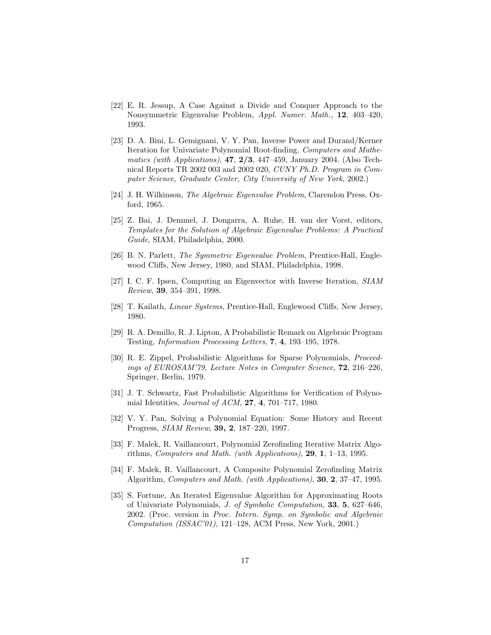- [22] E. R. Jessup, A Case Against a Divide and Conquer Approach to the Nonsymmetric Eigenvalue Problem, Appl. Numer. Math., 12, 403–420, 1993.
- [23] D. A. Bini, L. Gemignani, V. Y. Pan, Inverse Power and Durand/Kerner Iteration for Univariate Polynomial Root-finding, Computers and Mathematics (with Applications),  $47, 2/3, 447-459$ , January 2004. (Also Technical Reports TR 2002 003 and 2002 020, CUNY Ph.D. Program in Computer Science, Graduate Center, City University of New York, 2002.)
- [24] J. H. Wilkinson, The Algebraic Eigenvalue Problem, Clarendon Press, Oxford, 1965.
- [25] Z. Bai, J. Demmel, J. Dongarra, A. Ruhe, H. van der Vorst, editors, Templates for the Solution of Algebraic Eigenvalue Problems: A Practical Guide, SIAM, Philadelphia, 2000.
- [26] B. N. Parlett, *The Symmetric Eigenvalue Problem*, Prentice-Hall, Englewood Cliffs, New Jersey, 1980, and SIAM, Philadelphia, 1998.
- [27] I. C. F. Ipsen, Computing an Eigenvector with Inverse Iteration, SIAM Review, 39, 354–391, 1998.
- [28] T. Kailath, Linear Systems, Prentice-Hall, Englewood Cliffs, New Jersey, 1980.
- [29] R. A. Demillo, R. J. Lipton, A Probabilistic Remark on Algebraic Program Testing, Information Processing Letters, 7, 4, 193–195, 1978.
- [30] R. E. Zippel, Probabilistic Algorithms for Sparse Polynomials, Proceedings of EUROSAM'79, Lecture Notes in Computer Science, 72, 216–226, Springer, Berlin, 1979.
- [31] J. T. Schwartz, Fast Probabilistic Algorithms for Verification of Polynomial Identities, Journal of ACM, 27, 4, 701–717, 1980.
- [32] V. Y. Pan, Solving a Polynomial Equation: Some History and Recent Progress, SIAM Review, 39, 2, 187–220, 1997.
- [33] F. Malek, R. Vaillancourt, Polynomial Zerofinding Iterative Matrix Algorithms, Computers and Math. (with Applications), 29, 1, 1–13, 1995.
- [34] F. Malek, R. Vaillancourt, A Composite Polynomial Zerofinding Matrix Algorithm, Computers and Math. (with Applications), 30, 2, 37–47, 1995.
- [35] S. Fortune, An Iterated Eigenvalue Algorithm for Approximating Roots of Univariate Polynomials, J. of Symbolic Computation, 33, 5, 627–646, 2002. (Proc. version in Proc. Intern. Symp. on Symbolic and Algebraic Computation (ISSAC'01), 121–128, ACM Press, New York, 2001.)